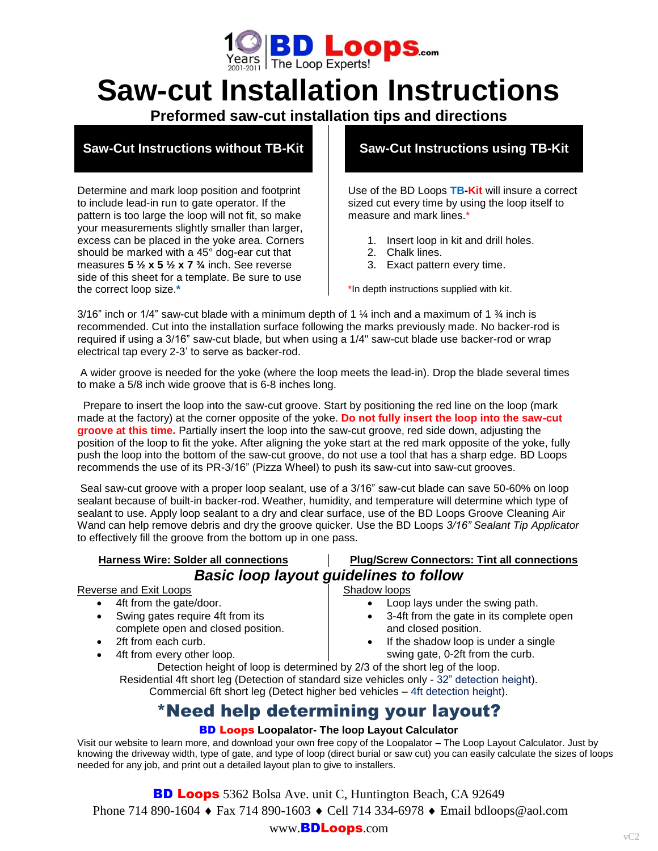

# **Saw-cut Installation Instructions**

**Preformed saw-cut installation tips and directions**

# **Saw-Cut Instructions without TB-Kit**

Determine and mark loop position and footprint to include lead-in run to gate operator. If the pattern is too large the loop will not fit, so make your measurements slightly smaller than larger, excess can be placed in the yoke area. Corners should be marked with a 45° dog-ear cut that measures **5 ½ x 5 ½ x 7 ¾** inch. See reverse side of this sheet for a template. Be sure to use the correct loop size.**\***

# **Saw-Cut Instructions using TB-Kit**

Use of the BD Loops **TB-Kit** will insure a correct sized cut every time by using the loop itself to measure and mark lines.\*

- 1. Insert loop in kit and drill holes.
- 2. Chalk lines.
- 3. Exact pattern every time.

\*In depth instructions supplied with kit.

3/16" inch or 1/4" saw-cut blade with a minimum depth of 1  $\frac{1}{4}$  inch and a maximum of 1  $\frac{3}{4}$  inch is recommended. Cut into the installation surface following the marks previously made. No backer-rod is required if using a 3/16" saw-cut blade, but when using a 1/4" saw-cut blade use backer-rod or wrap electrical tap every 2-3' to serve as backer-rod.

A wider groove is needed for the yoke (where the loop meets the lead-in). Drop the blade several times to make a 5/8 inch wide groove that is 6-8 inches long.

 Prepare to insert the loop into the saw-cut groove. Start by positioning the red line on the loop (mark made at the factory) at the corner opposite of the yoke. **Do not fully insert the loop into the saw-cut groove at this time.** Partially insert the loop into the saw-cut groove, red side down, adjusting the position of the loop to fit the yoke. After aligning the yoke start at the red mark opposite of the yoke, fully push the loop into the bottom of the saw-cut groove, do not use a tool that has a sharp edge. BD Loops recommends the use of its PR-3/16" (Pizza Wheel) to push its saw-cut into saw-cut grooves.

Seal saw-cut groove with a proper loop sealant, use of a 3/16" saw-cut blade can save 50-60% on loop sealant because of built-in backer-rod. Weather, humidity, and temperature will determine which type of sealant to use. Apply loop sealant to a dry and clear surface, use of the BD Loops Groove Cleaning Air Wand can help remove debris and dry the groove quicker. Use the BD Loops *3/16" Sealant Tip Applicator* to effectively fill the groove from the bottom up in one pass.

#### **Harness Wire: Solder all connections Plug/Screw Connectors: Tint all connections**

# *Basic loop layout guidelines to follow*

## Reverse and Exit Loops

- 4ft from the gate/door.
- Swing gates require 4ft from its complete open and closed position.
- 2ft from each curb.
- 4ft from every other loop.

#### Shadow loops

- Loop lays under the swing path.
- 3-4ft from the gate in its complete open and closed position.
- If the shadow loop is under a single swing gate, 0-2ft from the curb.

Detection height of loop is determined by 2/3 of the short leg of the loop. Residential 4ft short leg (Detection of standard size vehicles only - 32" detection height). Commercial 6ft short leg (Detect higher bed vehicles – 4ft detection height).

# \*Need help determining your layout?

#### BD Loops **Loopalator- The loop Layout Calculator**

Visit our website to learn more, and download your own free copy of the Loopalator – The Loop Layout Calculator. Just by knowing the driveway width, type of gate, and type of loop (direct burial or saw cut) you can easily calculate the sizes of loops needed for any job, and print out a detailed layout plan to give to installers.

**BD Loops** 5362 Bolsa Ave. unit C, Huntington Beach, CA 92649 Phone 714 890-1604 ◆ Fax 714 890-1603 ◆ Cell 714 334-6978 ◆ Email bdloops@aol.com

### www.BDLoops.com